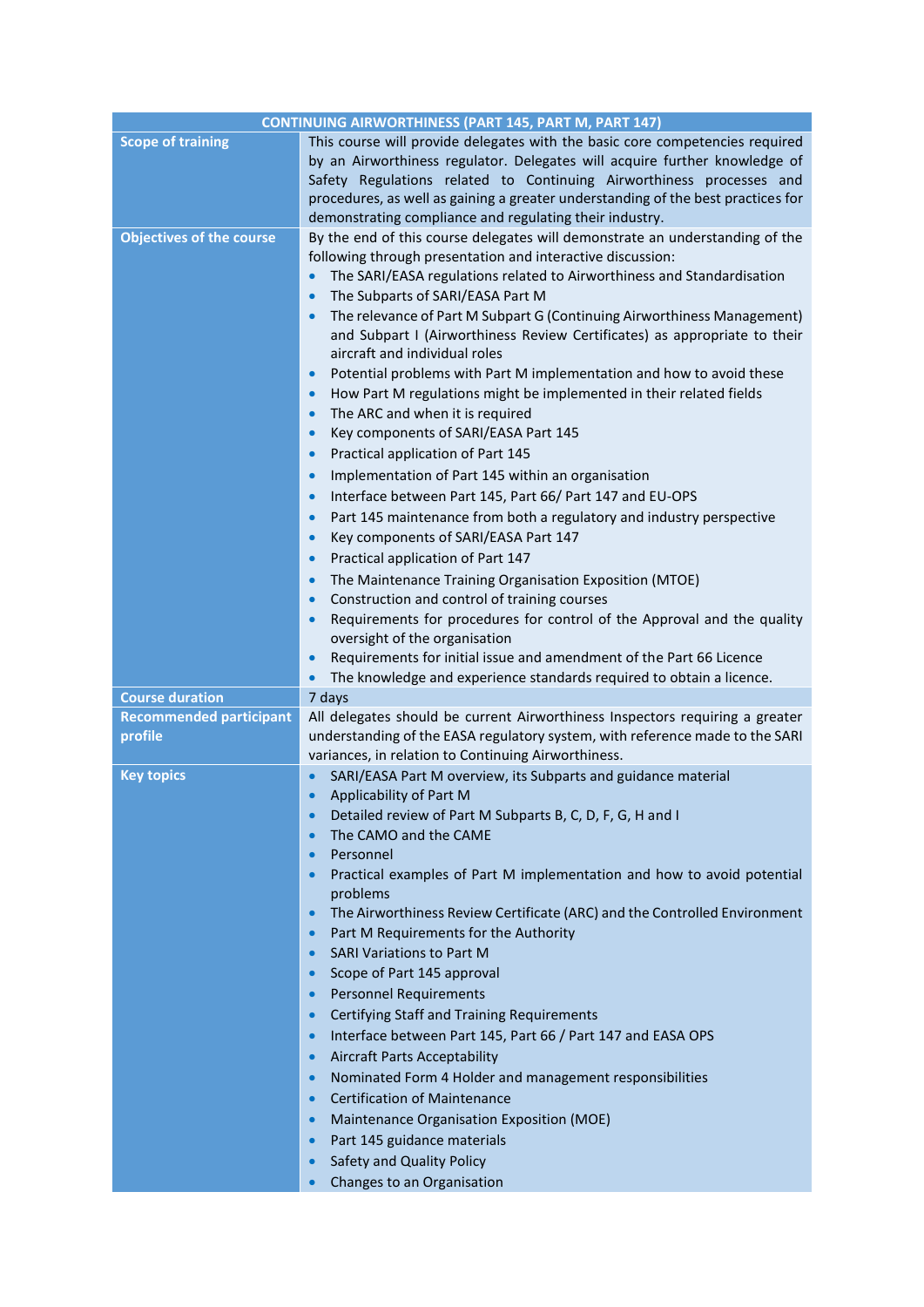| <b>CONTINUING AIRWORTHINESS (PART 145, PART M, PART 147)</b> |                                                                                                                                                                                                                                                                                                                                                                                                                                                                                                                                                                                                                                                                                                                                                                                                                                                                                                                                                                                                                                                                                                                                                                                                                                                                                                                                                                                                                                                                                                                   |
|--------------------------------------------------------------|-------------------------------------------------------------------------------------------------------------------------------------------------------------------------------------------------------------------------------------------------------------------------------------------------------------------------------------------------------------------------------------------------------------------------------------------------------------------------------------------------------------------------------------------------------------------------------------------------------------------------------------------------------------------------------------------------------------------------------------------------------------------------------------------------------------------------------------------------------------------------------------------------------------------------------------------------------------------------------------------------------------------------------------------------------------------------------------------------------------------------------------------------------------------------------------------------------------------------------------------------------------------------------------------------------------------------------------------------------------------------------------------------------------------------------------------------------------------------------------------------------------------|
| <b>Scope of training</b>                                     | This course will provide delegates with the basic core competencies required<br>by an Airworthiness regulator. Delegates will acquire further knowledge of<br>Safety Regulations related to Continuing Airworthiness processes and<br>procedures, as well as gaining a greater understanding of the best practices for<br>demonstrating compliance and regulating their industry.                                                                                                                                                                                                                                                                                                                                                                                                                                                                                                                                                                                                                                                                                                                                                                                                                                                                                                                                                                                                                                                                                                                                 |
| <b>Objectives of the course</b>                              | By the end of this course delegates will demonstrate an understanding of the<br>following through presentation and interactive discussion:<br>The SARI/EASA regulations related to Airworthiness and Standardisation<br>$\bullet$<br>The Subparts of SARI/EASA Part M<br>$\bullet$<br>The relevance of Part M Subpart G (Continuing Airworthiness Management)<br>$\bullet$<br>and Subpart I (Airworthiness Review Certificates) as appropriate to their<br>aircraft and individual roles<br>Potential problems with Part M implementation and how to avoid these<br>$\bullet$<br>How Part M regulations might be implemented in their related fields<br>$\bullet$<br>The ARC and when it is required<br>$\bullet$<br>Key components of SARI/EASA Part 145<br>$\bullet$<br>Practical application of Part 145<br>$\bullet$<br>Implementation of Part 145 within an organisation<br>$\bullet$<br>Interface between Part 145, Part 66/ Part 147 and EU-OPS<br>$\bullet$<br>Part 145 maintenance from both a regulatory and industry perspective<br>$\bullet$<br>Key components of SARI/EASA Part 147<br>$\bullet$<br>Practical application of Part 147<br>$\bullet$<br>The Maintenance Training Organisation Exposition (MTOE)<br>$\bullet$<br>Construction and control of training courses<br>$\bullet$<br>Requirements for procedures for control of the Approval and the quality<br>$\bullet$<br>oversight of the organisation<br>Requirements for initial issue and amendment of the Part 66 Licence<br>$\bullet$ |
|                                                              | The knowledge and experience standards required to obtain a licence.<br>$\bullet$                                                                                                                                                                                                                                                                                                                                                                                                                                                                                                                                                                                                                                                                                                                                                                                                                                                                                                                                                                                                                                                                                                                                                                                                                                                                                                                                                                                                                                 |
| <b>Course duration</b>                                       | 7 days                                                                                                                                                                                                                                                                                                                                                                                                                                                                                                                                                                                                                                                                                                                                                                                                                                                                                                                                                                                                                                                                                                                                                                                                                                                                                                                                                                                                                                                                                                            |
| <b>Recommended participant</b><br>profile                    | All delegates should be current Airworthiness Inspectors requiring a greater<br>understanding of the EASA regulatory system, with reference made to the SARI<br>variances, in relation to Continuing Airworthiness.                                                                                                                                                                                                                                                                                                                                                                                                                                                                                                                                                                                                                                                                                                                                                                                                                                                                                                                                                                                                                                                                                                                                                                                                                                                                                               |
| <b>Key topics</b>                                            | SARI/EASA Part M overview, its Subparts and guidance material<br>Applicability of Part M<br>$\bullet$<br>Detailed review of Part M Subparts B, C, D, F, G, H and I<br>$\bullet$<br>The CAMO and the CAME<br>$\bullet$<br>Personnel<br>$\bullet$<br>Practical examples of Part M implementation and how to avoid potential<br>$\bullet$<br>problems<br>The Airworthiness Review Certificate (ARC) and the Controlled Environment<br>$\bullet$<br>Part M Requirements for the Authority<br>$\bullet$<br><b>SARI Variations to Part M</b><br>$\bullet$<br>Scope of Part 145 approval<br>$\bullet$<br><b>Personnel Requirements</b><br>$\bullet$<br>Certifying Staff and Training Requirements<br>$\bullet$<br>Interface between Part 145, Part 66 / Part 147 and EASA OPS<br>$\bullet$<br><b>Aircraft Parts Acceptability</b><br>$\bullet$<br>Nominated Form 4 Holder and management responsibilities<br>$\bullet$<br><b>Certification of Maintenance</b><br>$\bullet$<br>Maintenance Organisation Exposition (MOE)<br>$\bullet$<br>Part 145 guidance materials<br>$\bullet$<br>Safety and Quality Policy<br>$\bullet$<br>Changes to an Organisation<br>$\bullet$                                                                                                                                                                                                                                                                                                                                                    |